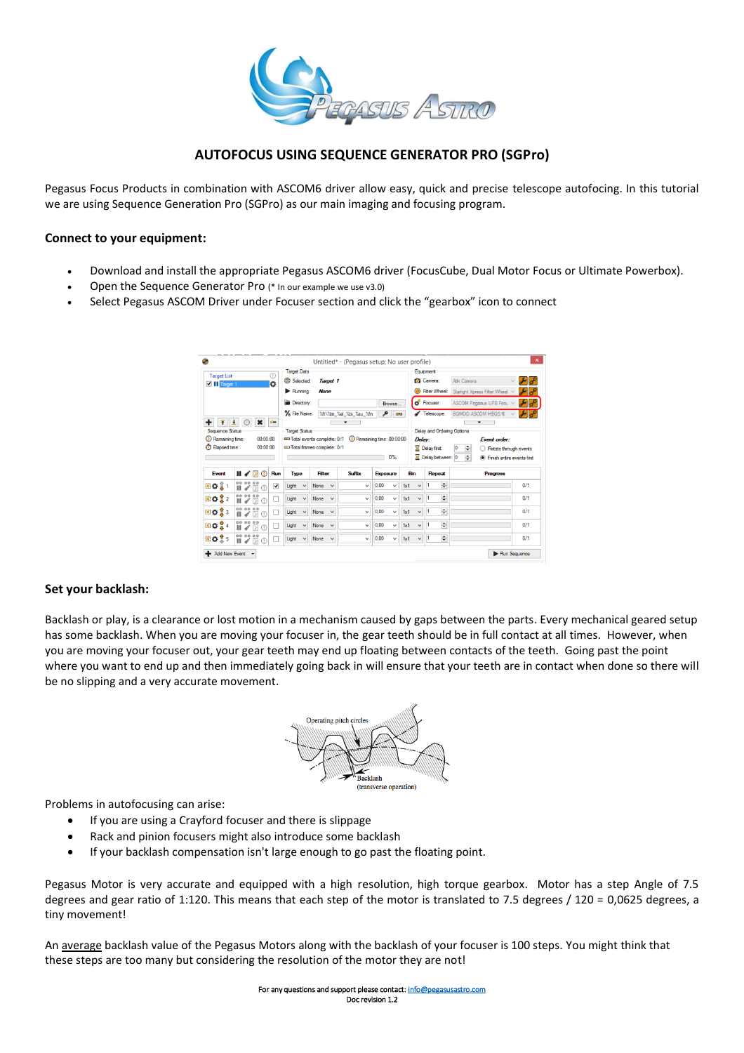

## **AUTOFOCUS USING SEQUENCE GENERATOR PRO (SGPro)**

Pegasus Focus Products in combination with ASCOM6 driver allow easy, quick and precise telescope autofocing. In this tutorial we are using Sequence Generation Pro (SGPro) as our main imaging and focusing program.

### **Connect to your equipment:**

- Download and install the appropriate Pegasus ASCOM6 driver (FocusCube, Dual Motor Focus or Ultimate Powerbox).
- Open the Sequence Generator Pro (\* In our example we use v3.0)
- Select Pegasus ASCOM Driver under Focuser section and click the "gearbox" icon to connect

| <b>Target List</b>                      |               |                             |                     | ⊕            | <b>Target Data</b>   |              |                            |              |                          |                                                         |     | Equipment    |                                   |                     |                                 |                              |
|-----------------------------------------|---------------|-----------------------------|---------------------|--------------|----------------------|--------------|----------------------------|--------------|--------------------------|---------------------------------------------------------|-----|--------------|-----------------------------------|---------------------|---------------------------------|------------------------------|
| $\blacksquare$ $\blacksquare$ Target 1  |               |                             |                     | b            | Selected:            |              | Target 1                   |              |                          |                                                         |     |              | Camera:                           | <b>Atik Camera</b>  |                                 |                              |
|                                         |               |                             |                     |              | Running:             |              | <b>None</b>                |              |                          |                                                         | ∩   |              | Filter Wheel:                     |                     | Starlight Xpress Filter Wheel v |                              |
|                                         |               |                             |                     |              | Directory:           |              |                            |              |                          | Browse                                                  |     |              | <b>D</b> Focuser:                 |                     | ASCOM Pegasus UPB Focu v        | تجيم                         |
|                                         |               |                             |                     |              | % File Name:         |              |                            |              | %ft\%tn_%el_%bi_%su_%fn  | ۹<br>$\overline{\text{ov}}$                             |     |              | Telescope:                        |                     | EQMOD ASCOM HEQ5/6              |                              |
| ٠<br>$\overline{\mathbf{f}}$            | $\frac{1}{2}$ |                             | $\boldsymbol{\ast}$ | $\mathbf{r}$ |                      |              |                            |              | $\overline{\phantom{0}}$ |                                                         |     |              |                                   |                     | $\overline{\phantom{a}}$        |                              |
| Sequence Status<br>(b) Remaining time:  |               |                             | 00:00:00            |              | <b>Target Status</b> |              |                            |              |                          |                                                         |     |              | <b>Delay and Ordering Options</b> |                     |                                 |                              |
|                                         |               |                             |                     |              |                      |              |                            |              |                          | Total events complete: 0/1 (2) Remaining time: 00:00:00 |     | Delay:       |                                   |                     | <b>Event order:</b>             |                              |
|                                         |               |                             |                     |              |                      |              |                            |              |                          |                                                         |     |              |                                   |                     |                                 |                              |
|                                         |               |                             | 00:00:00            |              |                      |              | Total frames complete: 0/1 |              |                          |                                                         |     |              | <b>X</b> Delay first:             | ÷<br>$\overline{0}$ |                                 | Rotate through events        |
| C Elapsed time:                         |               |                             |                     |              |                      |              |                            |              |                          | 0%                                                      |     |              | <b>X</b> Delay between: 0         | ÷                   |                                 | • Finish entire events first |
| Event                                   | 11 Y E        |                             | $\circ$             | Run          | <b>Type</b>          |              | <b>Filter</b>              |              | <b>Suffix</b>            | <b>Exposure</b>                                         | Bin |              | Repeat                            |                     | <b>Progress</b>                 |                              |
| $X$ $\mathbf{O}$ $\mathbf{L}$ 1         | 00 00 00<br>ш | ◢                           | я                   | √            | Light                | $\checkmark$ | None                       | $\checkmark$ | $\checkmark$             | 0.00<br>$\checkmark$                                    | 1x1 | $\checkmark$ | ÷                                 |                     |                                 | 0/1                          |
|                                         | 00 00 00      |                             | Ы                   |              | Light                | $\checkmark$ | None                       | $\checkmark$ | $\checkmark$             | 0.00<br>$\checkmark$                                    | 1x1 | v            | ÷                                 |                     |                                 | 0/1                          |
| $×$ $0$ $2$<br>$\times$ $\frac{1}{2}$ 3 | 00 00 00<br>ш | $\mathcal{A}^{\mathcal{C}}$ | 囹<br>$\bigcap$      | ш            | <b>Light</b>         |              | None                       | $\checkmark$ | $\checkmark$             | 0.00<br>$\checkmark$                                    | 1x1 | $\checkmark$ | ÷                                 |                     |                                 | 0/1                          |
| $\times$ $\frac{1}{2}$ 4                | 00 00 00      |                             |                     |              | Light                | $\checkmark$ | None                       | $\checkmark$ | $\checkmark$             | 0.00<br>$\checkmark$                                    | 1x1 | $\checkmark$ | ÷                                 |                     |                                 | 0/1                          |

## **Set your backlash:**

Backlash or play, is a clearance or lost motion in a mechanism caused by gaps between the parts. Every mechanical geared setup has some backlash. When you are moving your focuser in, the gear teeth should be in full contact at all times. However, when you are moving your focuser out, your gear teeth may end up floating between contacts of the teeth. Going past the point where you want to end up and then immediately going back in will ensure that your teeth are in contact when done so there will be no slipping and a very accurate movement.



Problems in autofocusing can arise:

- If you are using a Crayford focuser and there is slippage
- Rack and pinion focusers might also introduce some backlash
- If your backlash compensation isn't large enough to go past the floating point.

Pegasus Motor is very accurate and equipped with a high resolution, high torque gearbox. Motor has a step Angle of 7.5 degrees and gear ratio of 1:120. This means that each step of the motor is translated to 7.5 degrees / 120 = 0,0625 degrees, a tiny movement!

An average backlash value of the Pegasus Motors along with the backlash of your focuser is 100 steps. You might think that these steps are too many but considering the resolution of the motor they are not!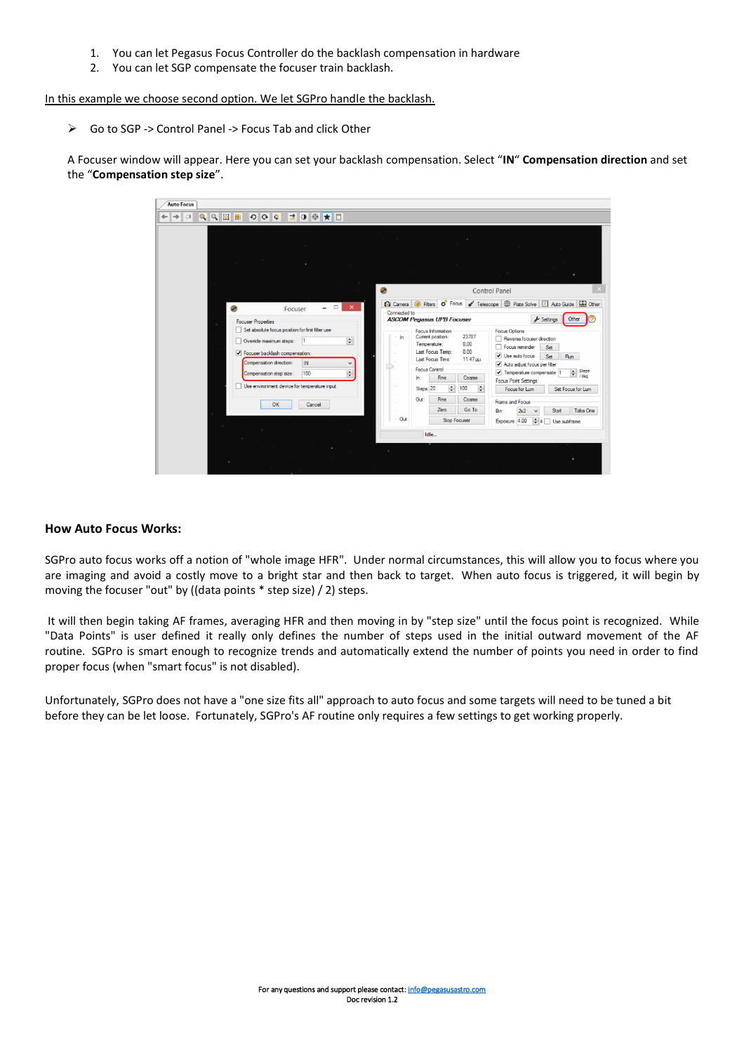- 1. You can let Pegasus Focus Controller do the backlash compensation in hardware
- 2. You can let SGP compensate the focuser train backlash.

In this example we choose second option. We let SGPro handle the backlash.

➢ Go to SGP -> Control Panel -> Focus Tab and click Other

A Focuser window will appear. Here you can set your backlash compensation. Select "**IN**" **Compensation direction** and set the "**Compensation step size**".



#### **How Auto Focus Works:**

SGPro auto focus works off a notion of "whole image HFR". Under normal circumstances, this will allow you to focus where you are imaging and avoid a costly move to a bright star and then back to target. When auto focus is triggered, it will begin by moving the focuser "out" by ((data points \* step size) / 2) steps.

It will then begin taking AF frames, averaging HFR and then moving in by "step size" until the focus point is recognized. While "Data Points" is user defined it really only defines the number of steps used in the initial outward movement of the AF routine. SGPro is smart enough to recognize trends and automatically extend the number of points you need in order to find proper focus (when "smart focus" is not disabled).

Unfortunately, SGPro does not have a "one size fits all" approach to auto focus and some targets will need to be tuned a bit before they can be let loose. Fortunately, SGPro's AF routine only requires a few settings to get working properly.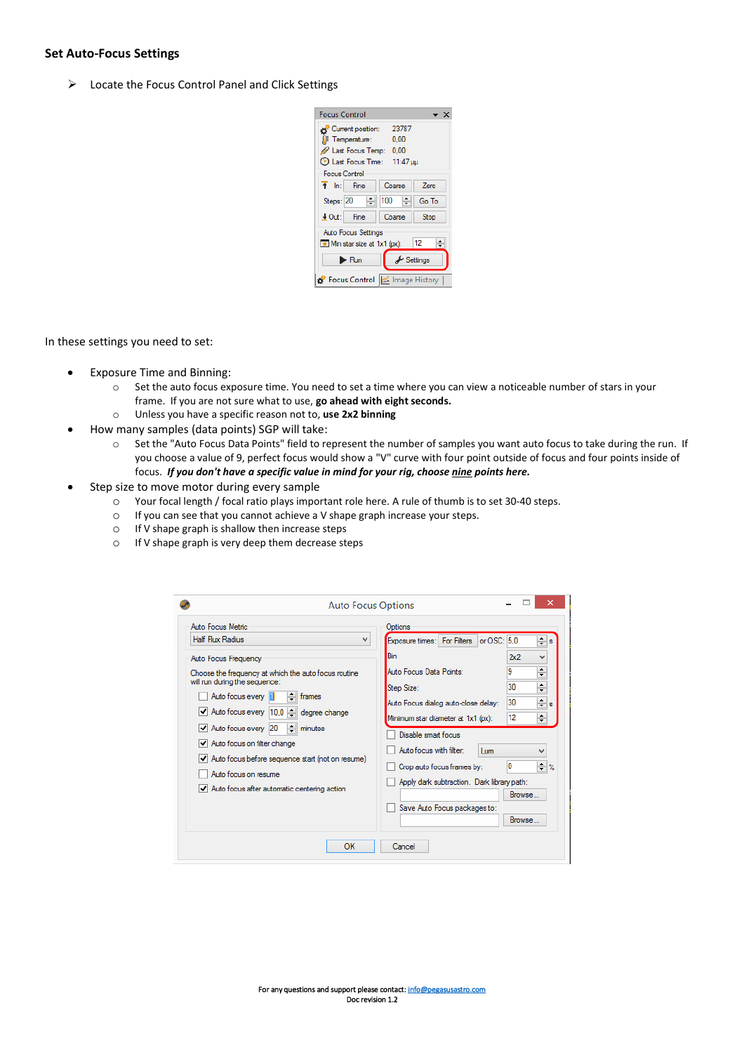#### **Set Auto-Focus Settings**

➢ Locate the Focus Control Panel and Click Settings

| <b>Focus Control</b>                  |                                | $\mathsf{x}$ |  |  |  |  |  |  |
|---------------------------------------|--------------------------------|--------------|--|--|--|--|--|--|
| 23787<br>Current position:            |                                |              |  |  |  |  |  |  |
| <b>II</b> Temperature:<br>0.00        |                                |              |  |  |  |  |  |  |
| Last Focus Temp: 0.00                 |                                |              |  |  |  |  |  |  |
| © Last Focus Time: 11:47 µµ           |                                |              |  |  |  |  |  |  |
| Focus Control                         |                                |              |  |  |  |  |  |  |
| $\uparrow$ In: Fine                   | Coarse                         | <b>Zero</b>  |  |  |  |  |  |  |
| H<br>Steps: 20                        | ÷<br>100                       | Go To        |  |  |  |  |  |  |
| $\downarrow$ Out: Fine                | Coarse                         | <b>Stop</b>  |  |  |  |  |  |  |
| Auto Focus Settings                   |                                |              |  |  |  |  |  |  |
| Min star size at 1x1 (px):            |                                | 12           |  |  |  |  |  |  |
| $\blacktriangleright$ Run             | $\blacktriangleright$ Settings |              |  |  |  |  |  |  |
| Focus Control   <a> Image History</a> |                                |              |  |  |  |  |  |  |

In these settings you need to set:

- Exposure Time and Binning:
	- o Set the auto focus exposure time. You need to set a time where you can view a noticeable number of stars in your frame. If you are not sure what to use, **go ahead with eight seconds.**
	- o Unless you have a specific reason not to, **use 2x2 binning**
	- How many samples (data points) SGP will take:
		- o Set the "Auto Focus Data Points" field to represent the number of samples you want auto focus to take during the run. If you choose a value of 9, perfect focus would show a "V" curve with four point outside of focus and four points inside of focus. *If you don't have a specific value in mind for your rig, choose nine points here.*
- Step size to move motor during every sample
	- o Your focal length / focal ratio plays important role here. A rule of thumb is to set 30-40 steps.
	- o If you can see that you cannot achieve a V shape graph increase your steps.
	- o If V shape graph is shallow then increase steps
	- o If V shape graph is very deep them decrease steps

| Auto Focus Metric<br><b>Half Flux Radius</b><br>v<br>Auto Focus Frequency<br>Choose the frequency at which the auto focus routine<br>will run during the sequence:<br>÷<br>Auto focus every<br>frames<br>√ Auto focus every 10,0   degree change<br>÷۱<br>$\blacktriangleright$ Auto focus every 20<br>minutes<br>√ Auto focus on filter change<br>$\vert \checkmark \vert$ Auto focus before sequence start (not on resume)<br>Auto focus on resume<br>$\blacktriangleright$ Auto focus after automatic centering action | Options<br>or $OSC: 5.0$<br>÷<br>Exposure times: For Filters<br>Bin<br>Ж2<br>v<br>۰<br>9<br>Auto Focus Data Points:<br>$\overline{\phantom{0}}$<br>$\div$<br>30<br>Step Size:<br>$\div$<br>30<br>Auto Focus dialog auto-close delay:<br>÷<br>12<br>Minimum star diameter at 1x1 (px):<br>Disable smart focus<br>Auto focus with filter:<br><b>Lum</b><br>v<br>$\div$ %<br>O<br>Crop auto focus frames by:<br>Apply dark subtraction. Dark library path:<br>Browse<br>Save Auto Focus packages to:<br>Browse |
|---------------------------------------------------------------------------------------------------------------------------------------------------------------------------------------------------------------------------------------------------------------------------------------------------------------------------------------------------------------------------------------------------------------------------------------------------------------------------------------------------------------------------|-------------------------------------------------------------------------------------------------------------------------------------------------------------------------------------------------------------------------------------------------------------------------------------------------------------------------------------------------------------------------------------------------------------------------------------------------------------------------------------------------------------|
|---------------------------------------------------------------------------------------------------------------------------------------------------------------------------------------------------------------------------------------------------------------------------------------------------------------------------------------------------------------------------------------------------------------------------------------------------------------------------------------------------------------------------|-------------------------------------------------------------------------------------------------------------------------------------------------------------------------------------------------------------------------------------------------------------------------------------------------------------------------------------------------------------------------------------------------------------------------------------------------------------------------------------------------------------|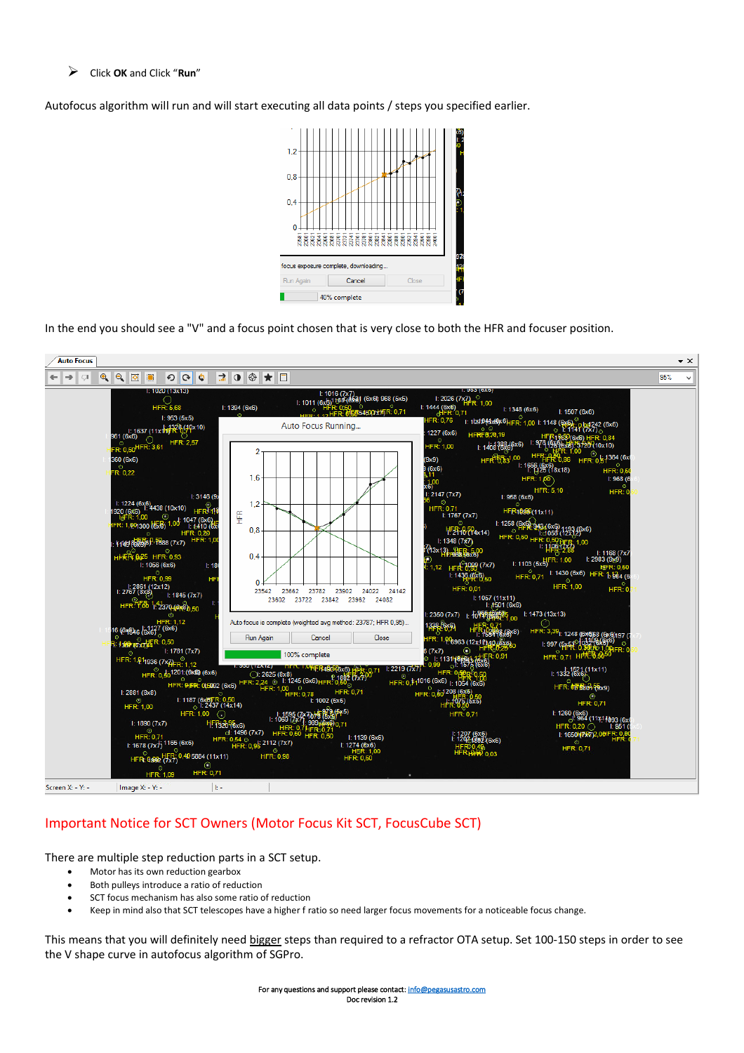➢ Click **OK** and Click "**Run**"

Autofocus algorithm will run and will start executing all data points / steps you specified earlier.



In the end you should see a "V" and a focus point chosen that is very close to both the HFR and focuser position.



# Important Notice for SCT Owners (Motor Focus Kit SCT, FocusCube SCT)

There are multiple step reduction parts in a SCT setup.

- Motor has its own reduction gearbox
- Both pulleys introduce a ratio of reduction
- SCT focus mechanism has also some ratio of reduction
- Keep in mind also that SCT telescopes have a higher f ratio so need larger focus movements for a noticeable focus change.

This means that you will definitely need bigger steps than required to a refractor OTA setup. Set 100-150 steps in order to see the V shape curve in autofocus algorithm of SGPro.